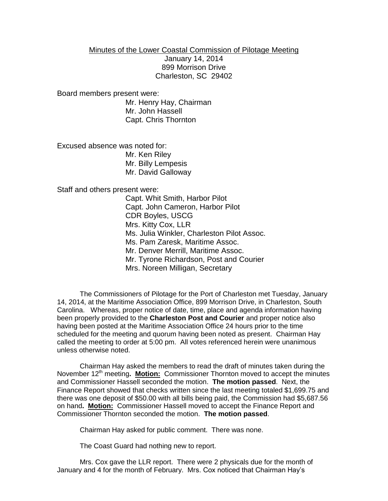## Minutes of the Lower Coastal Commission of Pilotage Meeting

January 14, 2014 899 Morrison Drive Charleston, SC 29402

Board members present were:

Mr. Henry Hay, Chairman Mr. John Hassell Capt. Chris Thornton

Excused absence was noted for:

Mr. Ken Riley Mr. Billy Lempesis Mr. David Galloway

Staff and others present were:

Capt. Whit Smith, Harbor Pilot Capt. John Cameron, Harbor Pilot CDR Boyles, USCG Mrs. Kitty Cox, LLR Ms. Julia Winkler, Charleston Pilot Assoc. Ms. Pam Zaresk, Maritime Assoc. Mr. Denver Merrill, Maritime Assoc. Mr. Tyrone Richardson, Post and Courier Mrs. Noreen Milligan, Secretary

The Commissioners of Pilotage for the Port of Charleston met Tuesday, January 14, 2014, at the Maritime Association Office, 899 Morrison Drive, in Charleston, South Carolina. Whereas, proper notice of date, time, place and agenda information having been properly provided to the **Charleston Post and Courier** and proper notice also having been posted at the Maritime Association Office 24 hours prior to the time scheduled for the meeting and quorum having been noted as present. Chairman Hay called the meeting to order at 5:00 pm. All votes referenced herein were unanimous unless otherwise noted.

Chairman Hay asked the members to read the draft of minutes taken during the November 12<sup>th</sup> meeting. Motion: Commissioner Thornton moved to accept the minutes and Commissioner Hassell seconded the motion. **The motion passed**. Next, the Finance Report showed that checks written since the last meeting totaled \$1,699.75 and there was one deposit of \$50.00 with all bills being paid, the Commission had \$5,687.56 on hand**. Motion:** Commissioner Hassell moved to accept the Finance Report and Commissioner Thornton seconded the motion. **The motion passed**.

Chairman Hay asked for public comment. There was none.

The Coast Guard had nothing new to report.

Mrs. Cox gave the LLR report. There were 2 physicals due for the month of January and 4 for the month of February. Mrs. Cox noticed that Chairman Hay's